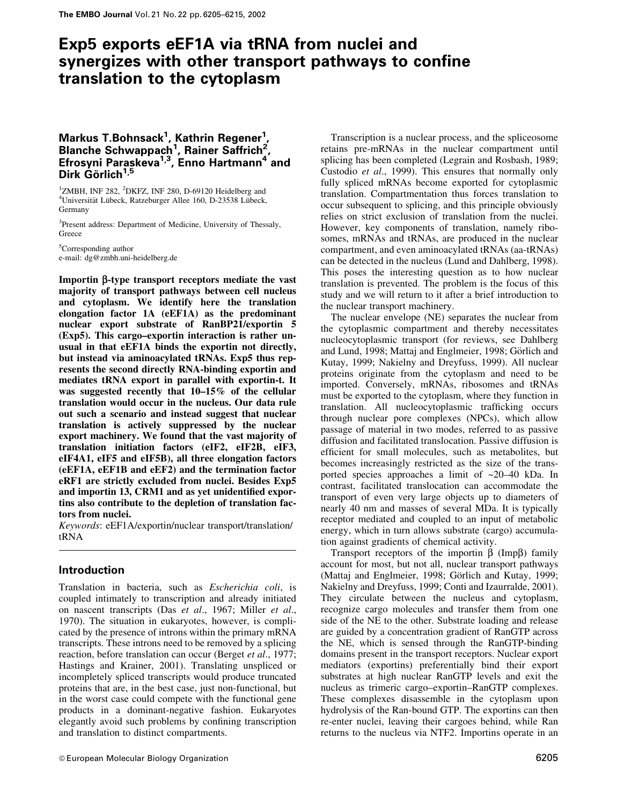# Exp5 exports eEF1A via tRNA from nuclei and synergizes with other transport pathways to confine translation to the cytoplasm

# Markus T.Bohnsack<sup>1</sup>, Kathrin Regener<sup>1</sup>,<br>Blanche Schwappach<sup>1</sup>, Rainer Saffrich<sup>2</sup>, Efrosyni Paraskeva<sup>1,3</sup>, Enno Hartmann<sup>4</sup> and Dirk Görlich<sup>1,5</sup>

<sup>1</sup>ZMBH, INF 282, <sup>2</sup>DKFZ, INF 280, D-69120 Heidelberg and <sup>4</sup>Universität Lübeck, Ratzeburger Allee 160, D-23538 Lübeck, Germany

<sup>3</sup>Present address: Department of Medicine, University of Thessaly, Greece

<sup>5</sup>Corresponding author e-mail: dg@zmbh.uni-heidelberg.de

Importin β-type transport receptors mediate the vast majority of transport pathways between cell nucleus and cytoplasm. We identify here the translation elongation factor 1A (eEF1A) as the predominant nuclear export substrate of RanBP21/exportin 5 (Exp5). This cargo-exportin interaction is rather unusual in that eEF1A binds the exportin not directly, but instead via aminoacylated tRNAs. Exp5 thus represents the second directly RNA-binding exportin and mediates tRNA export in parallel with exportin-t. It was suggested recently that  $10-15\%$  of the cellular translation would occur in the nucleus. Our data rule out such a scenario and instead suggest that nuclear translation is actively suppressed by the nuclear export machinery. We found that the vast majority of translation initiation factors (eIF2, eIF2B, eIF3, eIF4A1, eIF5 and eIF5B), all three elongation factors (eEF1A, eEF1B and eEF2) and the termination factor eRF1 are strictly excluded from nuclei. Besides Exp5 and importin 13, CRM1 and as yet unidentified exportins also contribute to the depletion of translation factors from nuclei.

*Keywords:* eEF1A/exportin/nuclear transport/translation/ tRNA

# **Introduction**

Translation in bacteria, such as *Escherichia coli*, is coupled intimately to transcription and already initiated on nascent transcripts (Das et al., 1967; Miller et al., 1970). The situation in eukaryotes, however, is complicated by the presence of introns within the primary mRNA transcripts. These introns need to be removed by a splicing reaction, before translation can occur (Berget et al., 1977; Hastings and Krainer, 2001). Translating unspliced or incompletely spliced transcripts would produce truncated proteins that are, in the best case, just non-functional, but in the worst case could compete with the functional gene products in a dominant-negative fashion. Eukaryotes elegantly avoid such problems by confining transcription and translation to distinct compartments.

Transcription is a nuclear process, and the spliceosome retains pre-mRNAs in the nuclear compartment until splicing has been completed (Legrain and Rosbash, 1989; Custodio et al., 1999). This ensures that normally only fully spliced mRNAs become exported for cytoplasmic translation. Compartmentation thus forces translation to occur subsequent to splicing, and this principle obviously relies on strict exclusion of translation from the nuclei. However, key components of translation, namely ribosomes, mRNAs and tRNAs, are produced in the nuclear compartment, and even aminoacylated tRNAs (aa-tRNAs) can be detected in the nucleus (Lund and Dahlberg, 1998). This poses the interesting question as to how nuclear translation is prevented. The problem is the focus of this study and we will return to it after a brief introduction to the nuclear transport machinery.

The nuclear envelope (NE) separates the nuclear from the cytoplasmic compartment and thereby necessitates nucleocytoplasmic transport (for reviews, see Dahlberg) and Lund, 1998; Mattaj and Englmeier, 1998; Görlich and Kutay, 1999; Nakielny and Dreyfuss, 1999). All nuclear proteins originate from the cytoplasm and need to be imported. Conversely, mRNAs, ribosomes and tRNAs must be exported to the cytoplasm, where they function in translation. All nucleocytoplasmic trafficking occurs through nuclear pore complexes (NPCs), which allow passage of material in two modes, referred to as passive diffusion and facilitated translocation. Passive diffusion is efficient for small molecules, such as metabolites, but becomes increasingly restricted as the size of the transported species approaches a limit of  $\sim$ 20–40 kDa. In contrast, facilitated translocation can accommodate the transport of even very large objects up to diameters of nearly 40 nm and masses of several MDa. It is typically receptor mediated and coupled to an input of metabolic energy, which in turn allows substrate (cargo) accumulation against gradients of chemical activity.

Transport receptors of the importin  $\beta$  (Imp $\beta$ ) family account for most, but not all, nuclear transport pathways (Mattaj and Englmeier, 1998; Görlich and Kutay, 1999; Nakielny and Dreyfuss, 1999; Conti and Izaurralde, 2001). They circulate between the nucleus and cytoplasm, recognize cargo molecules and transfer them from one side of the NE to the other. Substrate loading and release are guided by a concentration gradient of RanGTP across the NE, which is sensed through the RanGTP-binding domains present in the transport receptors. Nuclear export mediators (exportins) preferentially bind their export substrates at high nuclear RanGTP levels and exit the nucleus as trimeric cargo-exportin-RanGTP complexes. These complexes disassemble in the cytoplasm upon hydrolysis of the Ran-bound GTP. The exportins can then re-enter nuclei, leaving their cargoes behind, while Ran returns to the nucleus via NTF2. Importins operate in an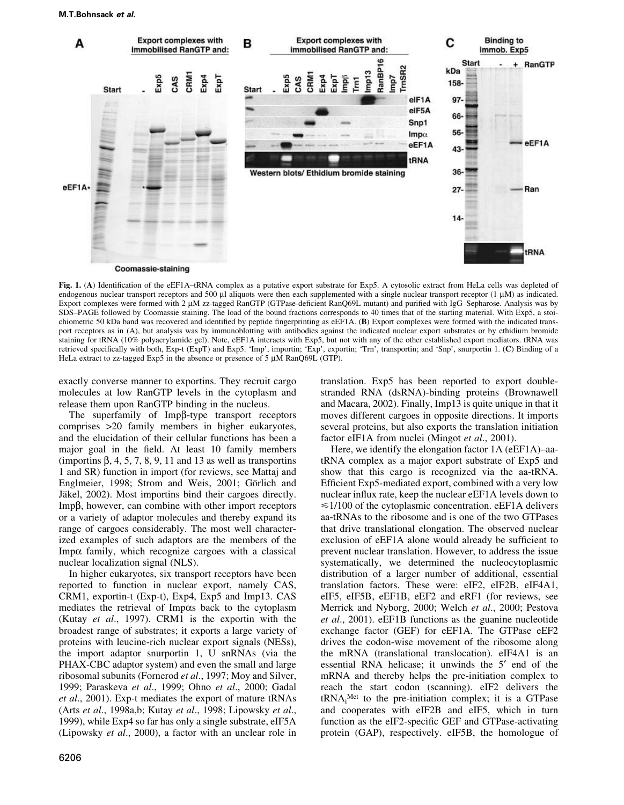

Fig. 1. (A) Identification of the eEF1A-tRNA complex as a putative export substrate for Exp5. A cytosolic extract from HeLa cells was depleted of endogenous nuclear transport receptors and 500 µl aliquots were then each supplemented with a single nuclear transport receptor (1 µM) as indicated. Export complexes were formed with 2 µM zz-tagged RanGTP (GTPase-deficient RanQ69L mutant) and purified with IgG-Sepharose. Analysis was by SDS-PAGE followed by Coomassie staining. The load of the bound fractions corresponds to 40 times that of the starting material. With Exp5, a stoichiometric 50 kDa band was recovered and identified by peptide fingerprinting as eEF1A. (B) Export complexes were formed with the indicated transport receptors as in (A), but analysis was by immunoblotting with antibodies against the indicated nuclear export substrates or by ethidium bromide staining for tRNA (10% polyacrylamide gel). Note, eEF1A interacts with Exp5, but not with any of the other established export mediators. tRNA was retrieved specifically with both, Exp-t (ExpT) and Exp5. 'Imp', importin; 'Exp', exportin; 'Trn', transportin; and 'Snp', snurportin 1. (C) Binding of a HeLa extract to zz-tagged Exp5 in the absence or presence of 5 µM RanQ69L (GTP).

exactly converse manner to exportins. They recruit cargo molecules at low RanGTP levels in the cytoplasm and release them upon RanGTP binding in the nucleus.

The superfamily of  $Imp\beta$ -type transport receptors comprises >20 family members in higher eukaryotes, and the elucidation of their cellular functions has been a major goal in the field. At least 10 family members (importins  $\beta$ , 4, 5, 7, 8, 9, 11 and 13 as well as transportins 1 and SR) function in import (for reviews, see Mattaj and Englmeier, 1998; Strom and Weis, 2001; Görlich and Jäkel, 2002). Most importins bind their cargoes directly.  $\text{Imp}\beta$ , however, can combine with other import receptors or a variety of adaptor molecules and thereby expand its range of cargoes considerably. The most well characterized examples of such adaptors are the members of the Imp $\alpha$  family, which recognize cargoes with a classical nuclear localization signal (NLS).

In higher eukaryotes, six transport receptors have been reported to function in nuclear export, namely CAS, CRM1, exportin-t (Exp-t), Exp4, Exp5 and Imp13. CAS mediates the retrieval of Impos back to the cytoplasm (Kutay et al., 1997). CRM1 is the exportin with the broadest range of substrates; it exports a large variety of proteins with leucine-rich nuclear export signals (NESs), the import adaptor snurportin 1, U snRNAs (via the PHAX-CBC adaptor system) and even the small and large ribosomal subunits (Fornerod et al., 1997; Moy and Silver, 1999; Paraskeva et al., 1999; Ohno et al., 2000; Gadal et al., 2001). Exp-t mediates the export of mature tRNAs (Arts et al., 1998a,b; Kutay et al., 1998; Lipowsky et al., 1999), while Exp4 so far has only a single substrate, eIF5A (Lipowsky et al., 2000), a factor with an unclear role in translation. Exp5 has been reported to export doublestranded RNA (dsRNA)-binding proteins (Brownawell and Macara, 2002). Finally, Imp13 is quite unique in that it moves different cargoes in opposite directions. It imports several proteins, but also exports the translation initiation factor eIF1A from nuclei (Mingot et al., 2001).

Here, we identify the elongation factor 1A (eEF1A)-aatRNA complex as a major export substrate of Exp5 and show that this cargo is recognized via the aa-tRNA. Efficient Exp5-mediated export, combined with a very low nuclear influx rate, keep the nuclear eEF1A levels down to  $\leq 1/100$  of the cytoplasmic concentration. eEF1A delivers aa-tRNAs to the ribosome and is one of the two GTPases that drive translational elongation. The observed nuclear exclusion of eEF1A alone would already be sufficient to prevent nuclear translation. However, to address the issue systematically, we determined the nucleocytoplasmic distribution of a larger number of additional, essential translation factors. These were: eIF2, eIF2B, eIF4A1, eIF5, eIF5B, eEF1B, eEF2 and eRF1 (for reviews, see Merrick and Nyborg, 2000; Welch et al., 2000; Pestova *et al.*, 2001). eEF1B functions as the guanine nucleotide exchange factor (GEF) for eEF1A. The GTPase eEF2 drives the codon-wise movement of the ribosome along the mRNA (translational translocation). eIF4A1 is an essential RNA helicase; it unwinds the 5' end of the mRNA and thereby helps the pre-initiation complex to reach the start codon (scanning). eIF2 delivers the  $tRNA_i^{Met}$  to the pre-initiation complex; it is a GTPase and cooperates with eIF2B and eIF5, which in turn function as the eIF2-specific GEF and GTPase-activating protein (GAP), respectively. eIF5B, the homologue of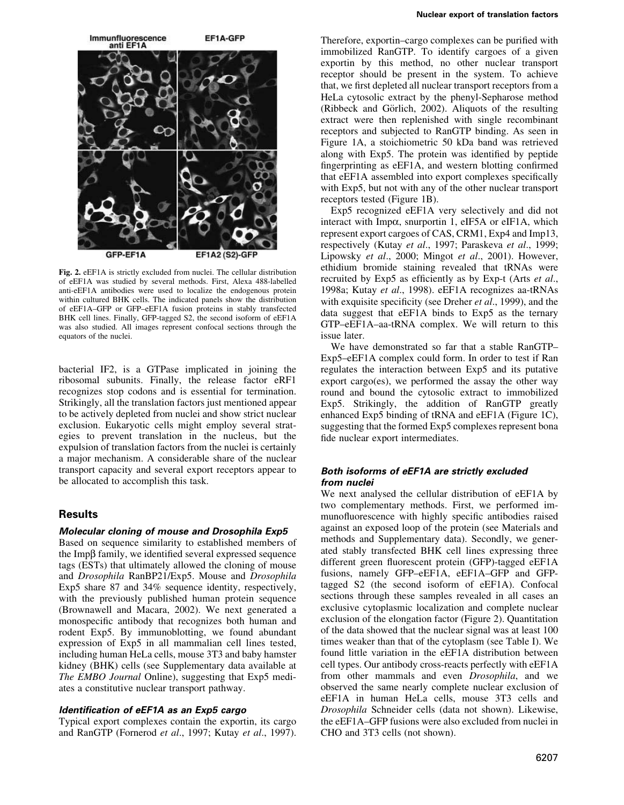

Fig. 2. eEF1A is strictly excluded from nuclei. The cellular distribution of eEF1A was studied by several methods. First, Alexa 488-labelled anti-eEF1A antibodies were used to localize the endogenous protein within cultured BHK cells. The indicated panels show the distribution of eEF1A-GFP or GFP-eEF1A fusion proteins in stably transfected BHK cell lines. Finally, GFP-tagged S2, the second isoform of eEF1A was also studied. All images represent confocal sections through the equators of the nuclei.

bacterial IF2, is a GTPase implicated in joining the ribosomal subunits. Finally, the release factor eRF1 recognizes stop codons and is essential for termination. Strikingly, all the translation factors just mentioned appear to be actively depleted from nuclei and show strict nuclear exclusion. Eukaryotic cells might employ several strategies to prevent translation in the nucleus, but the expulsion of translation factors from the nuclei is certainly a major mechanism. A considerable share of the nuclear transport capacity and several export receptors appear to be allocated to accomplish this task.

### **Results**

### Molecular cloning of mouse and Drosophila Exp5

Based on sequence similarity to established members of the Impβ family, we identified several expressed sequence tags (ESTs) that ultimately allowed the cloning of mouse and *Drosophila* RanBP21/Exp5. Mouse and *Drosophila* Exp5 share 87 and 34% sequence identity, respectively, with the previously published human protein sequence (Brownawell and Macara, 2002). We next generated a monospecific antibody that recognizes both human and rodent Exp5. By immunoblotting, we found abundant expression of Exp5 in all mammalian cell lines tested, including human HeLa cells, mouse 3T3 and baby hamster kidney (BHK) cells (see Supplementary data available at The EMBO Journal Online), suggesting that Exp5 mediates a constitutive nuclear transport pathway.

### Identification of eEF1A as an Exp5 cargo

Typical export complexes contain the exportin, its cargo and RanGTP (Fornerod et al., 1997; Kutay et al., 1997). Therefore, exportin-cargo complexes can be purified with immobilized RanGTP. To identify cargoes of a given exportin by this method, no other nuclear transport receptor should be present in the system. To achieve that, we first depleted all nuclear transport receptors from a HeLa cytosolic extract by the phenyl-Sepharose method (Ribbeck and Görlich, 2002). Aliquots of the resulting extract were then replenished with single recombinant receptors and subjected to RanGTP binding. As seen in Figure 1A, a stoichiometric 50 kDa band was retrieved along with Exp5. The protein was identified by peptide fingerprinting as eEF1A, and western blotting confirmed that eEF1A assembled into export complexes specifically with Exp5, but not with any of the other nuclear transport receptors tested (Figure 1B).

Exp5 recognized eEF1A very selectively and did not interact with Impo, snurportin 1, eIF5A or eIF1A, which represent export cargoes of CAS, CRM1, Exp4 and Imp13, respectively (Kutay et al., 1997; Paraskeva et al., 1999; Lipowsky et al., 2000; Mingot et al., 2001). However, ethidium bromide staining revealed that tRNAs were recruited by Exp5 as efficiently as by Exp-t (Arts et al., 1998a; Kutay et al., 1998). eEF1A recognizes aa-tRNAs with exquisite specificity (see Dreher et al., 1999), and the data suggest that eEF1A binds to Exp5 as the ternary GTP-eEF1A-aa-tRNA complex. We will return to this issue later.

We have demonstrated so far that a stable RanGTP-Exp5-eEF1A complex could form. In order to test if Ran regulates the interaction between Exp5 and its putative export cargo(es), we performed the assay the other way round and bound the cytosolic extract to immobilized Exp5. Strikingly, the addition of RanGTP greatly enhanced Exp5 binding of tRNA and eEF1A (Figure 1C), suggesting that the formed Exp5 complexes represent bona fide nuclear export intermediates.

### Both isoforms of eEF1A are strictly excluded from nuclei

We next analysed the cellular distribution of eEF1A by two complementary methods. First, we performed immunofluorescence with highly specific antibodies raised against an exposed loop of the protein (see Materials and methods and Supplementary data). Secondly, we generated stably transfected BHK cell lines expressing three different green fluorescent protein (GFP)-tagged eEF1A fusions, namely GFP-eEF1A, eEF1A-GFP and GFPtagged S2 (the second isoform of eEF1A). Confocal sections through these samples revealed in all cases an exclusive cytoplasmic localization and complete nuclear exclusion of the elongation factor (Figure 2). Quantitation of the data showed that the nuclear signal was at least 100 times weaker than that of the cytoplasm (see Table I). We found little variation in the eEF1A distribution between cell types. Our antibody cross-reacts perfectly with eEF1A from other mammals and even *Drosophila*, and we observed the same nearly complete nuclear exclusion of eEF1A in human HeLa cells, mouse 3T3 cells and Drosophila Schneider cells (data not shown). Likewise, the eEF1A–GFP fusions were also excluded from nuclei in CHO and 3T3 cells (not shown).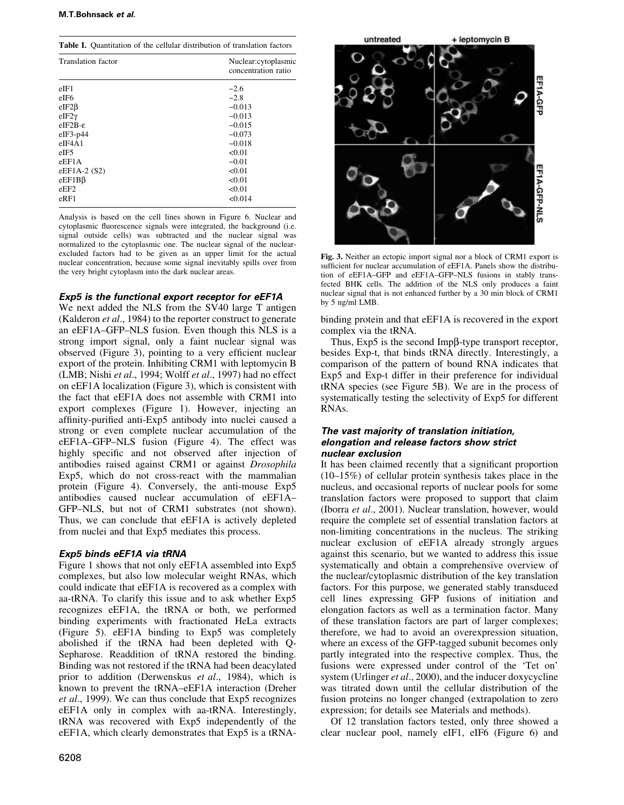Table I. Quantitation of the cellular distribution of translation factors

| <b>Translation</b> factor | Nuclear:cytoplasmic<br>concentration ratio |
|---------------------------|--------------------------------------------|
| $e$ IF1                   | $-2.6$                                     |
| eIF6                      | $-2.8$                                     |
| $eIF2\beta$               | $-0.013$                                   |
| $eIF2\gamma$              | ~10.013                                    |
| $eIF2B-\varepsilon$       | $-0.015$                                   |
| $eIF3-p44$                | $-0.073$                                   |
| $e$ IF4A1                 | $-0.018$                                   |
| eIF <sub>5</sub>          | < 0.01                                     |
| eEF1A                     | $-0.01$                                    |
| eEF1A-2 $(S2)$            | < 0.01                                     |
| $eEF1B\beta$              | < 0.01                                     |
| eEF2                      | < 0.01                                     |
| $e$ RF1                   | < 0.014                                    |

Analysis is based on the cell lines shown in Figure 6. Nuclear and cytoplasmic fluorescence signals were integrated, the background (i.e. signal outside cells) was subtracted and the nuclear signal was normalized to the cytoplasmic one. The nuclear signal of the nuclearexcluded factors had to be given as an upper limit for the actual nuclear concentration, because some signal inevitably spills over from the very bright cytoplasm into the dark nuclear areas.

## Exp5 is the functional export receptor for eEF1A

We next added the NLS from the SV40 large T antigen (Kalderon *et al.*, 1984) to the reporter construct to generate an eEF1A-GFP-NLS fusion. Even though this NLS is a strong import signal, only a faint nuclear signal was observed (Figure 3), pointing to a very efficient nuclear export of the protein. Inhibiting CRM1 with leptomycin B (LMB; Nishi et al., 1994; Wolff et al., 1997) had no effect on eEF1A localization (Figure 3), which is consistent with the fact that eEF1A does not assemble with CRM1 into export complexes (Figure 1). However, injecting an affinity-purified anti-Exp5 antibody into nuclei caused a strong or even complete nuclear accumulation of the eEF1A–GFP–NLS fusion (Figure 4). The effect was highly specific and not observed after injection of antibodies raised against CRM1 or against Drosophila Exp5, which do not cross-react with the mammalian protein (Figure 4). Conversely, the anti-mouse Exp5 antibodies caused nuclear accumulation of eEF1A-GFP-NLS, but not of CRM1 substrates (not shown). Thus, we can conclude that eEF1A is actively depleted from nuclei and that Exp5 mediates this process.

# Exp5 binds eEF1A via tRNA

Figure 1 shows that not only eEF1A assembled into Exp5 complexes, but also low molecular weight RNAs, which could indicate that eEF1A is recovered as a complex with aa-tRNA. To clarify this issue and to ask whether Exp5 recognizes eEF1A, the tRNA or both, we performed binding experiments with fractionated HeLa extracts (Figure 5). eEF1A binding to Exp5 was completely abolished if the tRNA had been depleted with Q-Sepharose. Readdition of tRNA restored the binding. Binding was not restored if the tRNA had been deacylated prior to addition (Derwenskus et al., 1984), which is known to prevent the tRNA-eEF1A interaction (Dreher et al., 1999). We can thus conclude that Exp5 recognizes eEF1A only in complex with aa-tRNA. Interestingly, tRNA was recovered with Exp5 independently of the eEF1A, which clearly demonstrates that Exp5 is a tRNA-



Fig. 3. Neither an ectopic import signal nor a block of CRM1 export is sufficient for nuclear accumulation of eEF1A. Panels show the distribution of eEF1A-GFP and eEF1A-GFP-NLS fusions in stably transfected BHK cells. The addition of the NLS only produces a faint nuclear signal that is not enhanced further by a 30 min block of CRM1 by 5 ng/ml LMB.

binding protein and that eEF1A is recovered in the export complex via the tRNA.

Thus,  $Exp5$  is the second Imp $\beta$ -type transport receptor, besides Exp-t, that binds tRNA directly. Interestingly, a comparison of the pattern of bound RNA indicates that Exp5 and Exp-t differ in their preference for individual tRNA species (see Figure 5B). We are in the process of systematically testing the selectivity of Exp5 for different RNAs.

### The vast majority of translation initiation, elongation and release factors show strict nuclear exclusion

It has been claimed recently that a significant proportion  $(10-15\%)$  of cellular protein synthesis takes place in the nucleus, and occasional reports of nuclear pools for some translation factors were proposed to support that claim (Iborra et al., 2001). Nuclear translation, however, would require the complete set of essential translation factors at non-limiting concentrations in the nucleus. The striking nuclear exclusion of eEF1A already strongly argues against this scenario, but we wanted to address this issue systematically and obtain a comprehensive overview of the nuclear/cytoplasmic distribution of the key translation factors. For this purpose, we generated stably transduced cell lines expressing GFP fusions of initiation and elongation factors as well as a termination factor. Many of these translation factors are part of larger complexes; therefore, we had to avoid an overexpression situation, where an excess of the GFP-tagged subunit becomes only partly integrated into the respective complex. Thus, the fusions were expressed under control of the 'Tet on' system (Urlinger et al., 2000), and the inducer doxycycline was titrated down until the cellular distribution of the fusion proteins no longer changed (extrapolation to zero expression; for details see Materials and methods).

Of 12 translation factors tested, only three showed a clear nuclear pool, namely eIF1, eIF6 (Figure 6) and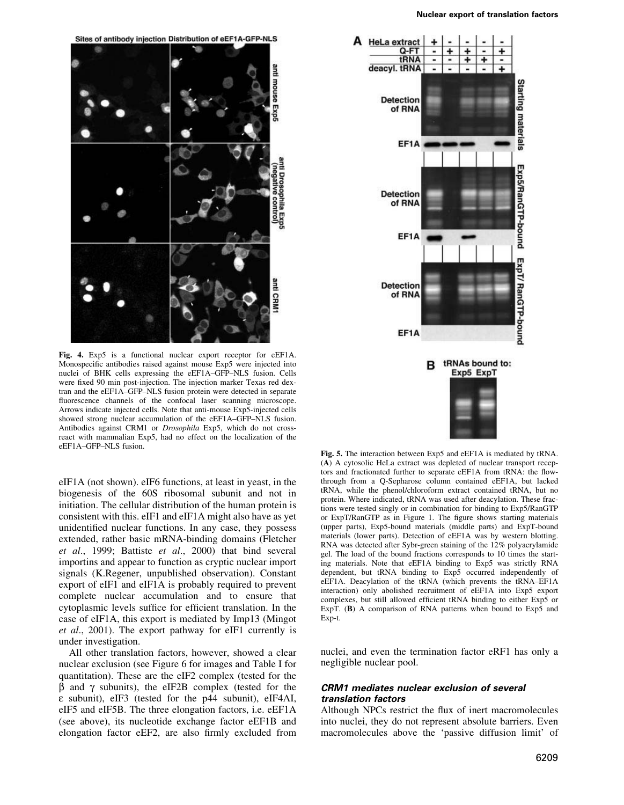

Fig. 4. Exp<sub>5</sub> is a functional nuclear export receptor for eEF1A. Monospecific antibodies raised against mouse Exp5 were injected into nuclei of BHK cells expressing the eEF1A-GFP-NLS fusion. Cells were fixed 90 min post-injection. The injection marker Texas red dextran and the eEF1A-GFP-NLS fusion protein were detected in separate fluorescence channels of the confocal laser scanning microscope. Arrows indicate injected cells. Note that anti-mouse Exp5-injected cells showed strong nuclear accumulation of the eEF1A-GFP-NLS fusion. Antibodies against CRM1 or Drosophila Exp5, which do not crossreact with mammalian Exp5, had no effect on the localization of the eEF1A-GFP-NLS fusion.

eIF1A (not shown). eIF6 functions, at least in yeast, in the biogenesis of the 60S ribosomal subunit and not in initiation. The cellular distribution of the human protein is consistent with this. eIF1 and eIF1A might also have as yet unidentified nuclear functions. In any case, they possess extended, rather basic mRNA-binding domains (Fletcher et al., 1999; Battiste et al., 2000) that bind several importins and appear to function as cryptic nuclear import signals (K.Regener, unpublished observation). Constant export of eIF1 and eIF1A is probably required to prevent complete nuclear accumulation and to ensure that cytoplasmic levels suffice for efficient translation. In the case of eIF1A, this export is mediated by Imp13 (Mingot) et al., 2001). The export pathway for eIF1 currently is under investigation.

All other translation factors, however, showed a clear nuclear exclusion (see Figure 6 for images and Table I for quantitation). These are the eIF2 complex (tested for the  $\beta$  and  $\gamma$  subunits), the eIF2B complex (tested for the ε subunit), eIF3 (tested for the p44 subunit), eIF4AI, eIF5 and eIF5B. The three elongation factors, i.e. eEF1A (see above), its nucleotide exchange factor eEF1B and elongation factor eEF2, are also firmly excluded from



Fig. 5. The interaction between Exp5 and eEF1A is mediated by tRNA. (A) A cytosolic HeLa extract was depleted of nuclear transport receptors and fractionated further to separate eEF1A from tRNA: the flowthrough from a Q-Sepharose column contained eEF1A, but lacked tRNA, while the phenol/chloroform extract contained tRNA, but no protein. Where indicated, tRNA was used after deacylation. These fractions were tested singly or in combination for binding to Exp5/RanGTP or ExpT/RanGTP as in Figure 1. The figure shows starting materials (upper parts), Exp5-bound materials (middle parts) and ExpT-bound materials (lower parts). Detection of eEF1A was by western blotting. RNA was detected after Sybr-green staining of the 12% polyacrylamide gel. The load of the bound fractions corresponds to 10 times the starting materials. Note that eEF1A binding to Exp5 was strictly RNA dependent, but tRNA binding to Exp5 occurred independently of eEF1A. Deacylation of the tRNA (which prevents the tRNA-EF1A interaction) only abolished recruitment of eEF1A into Exp5 export complexes, but still allowed efficient tRNA binding to either Exp5 or ExpT.  $(B)$  A comparison of RNA patterns when bound to Exp5 and Exp-t.

nuclei, and even the termination factor eRF1 has only a negligible nuclear pool.

### **CRM1** mediates nuclear exclusion of several translation factors

Although NPCs restrict the flux of inert macromolecules into nuclei, they do not represent absolute barriers. Even macromolecules above the 'passive diffusion limit' of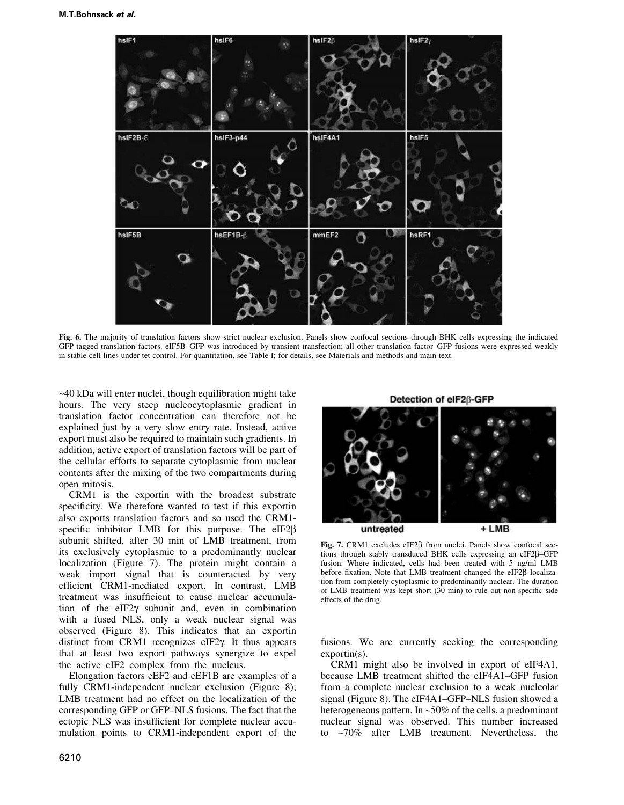

Fig. 6. The majority of translation factors show strict nuclear exclusion. Panels show confocal sections through BHK cells expressing the indicated GFP-tagged translation factors. eIF5B-GFP was introduced by transient transfection; all other translation factor-GFP fusions were expressed weakly in stable cell lines under tet control. For quantitation, see Table I; for details, see Materials and methods and main text.

 $\sim$ 40 kDa will enter nuclei, though equilibration might take hours. The very steep nucleocytoplasmic gradient in translation factor concentration can therefore not be explained just by a very slow entry rate. Instead, active export must also be required to maintain such gradients. In addition, active export of translation factors will be part of the cellular efforts to separate cytoplasmic from nuclear contents after the mixing of the two compartments during open mitosis.

CRM1 is the exportin with the broadest substrate specificity. We therefore wanted to test if this exportin also exports translation factors and so used the CRM1specific inhibitor LMB for this purpose. The eIF2 $\beta$ subunit shifted, after 30 min of LMB treatment, from its exclusively cytoplasmic to a predominantly nuclear localization (Figure 7). The protein might contain a weak import signal that is counteracted by very efficient CRM1-mediated export. In contrast, LMB treatment was insufficient to cause nuclear accumulation of the  $eIF2\gamma$  subunit and, even in combination with a fused NLS, only a weak nuclear signal was observed (Figure 8). This indicates that an exportin distinct from CRM1 recognizes eIF2y. It thus appears that at least two export pathways synergize to expel the active eIF2 complex from the nucleus.

Elongation factors eEF2 and eEF1B are examples of a fully CRM1-independent nuclear exclusion (Figure 8); LMB treatment had no effect on the localization of the corresponding GFP or GFP-NLS fusions. The fact that the ectopic NLS was insufficient for complete nuclear accumulation points to CRM1-independent export of the

6210

Detection of eIF26-GFP



Fig. 7. CRM1 excludes  $eIF2\beta$  from nuclei. Panels show confocal sections through stably transduced BHK cells expressing an eIF2ß-GFP fusion. Where indicated, cells had been treated with 5 ng/ml LMB before fixation. Note that LMB treatment changed the eIF2 $\beta$  localization from completely cytoplasmic to predominantly nuclear. The duration of LMB treatment was kept short (30 min) to rule out non-specific side effects of the drug.

fusions. We are currently seeking the corresponding  $exportin(s)$ .

CRM1 might also be involved in export of eIF4A1, because LMB treatment shifted the eIF4A1-GFP fusion from a complete nuclear exclusion to a weak nucleolar signal (Figure 8). The eIF4A1-GFP-NLS fusion showed a heterogeneous pattern. In  $\approx 50\%$  of the cells, a predominant nuclear signal was observed. This number increased to ~70% after LMB treatment. Nevertheless, the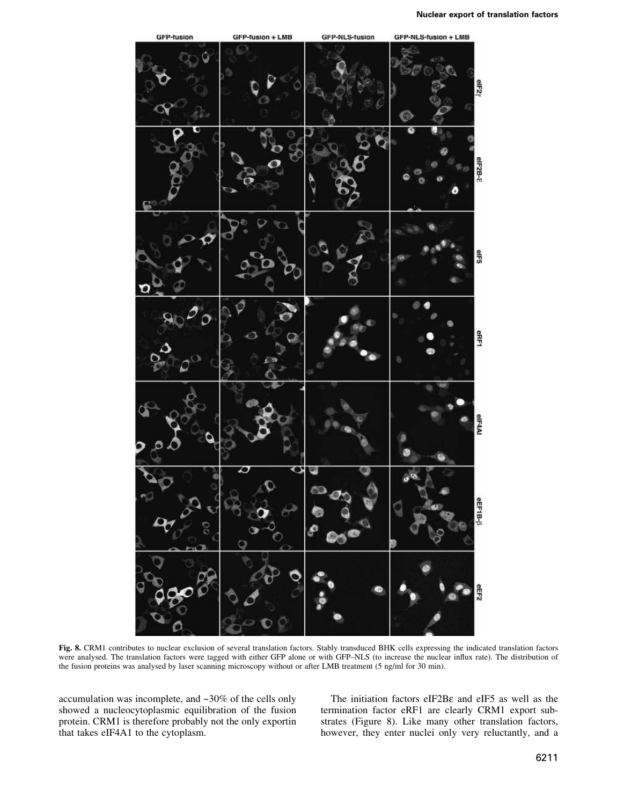

Fig. 8. CRM1 contributes to nuclear exclusion of several translation factors. Stably transduced BHK cells expressing the indicated translation factors were analysed. The translation factors were tagged with either GFP alone or with GFP-NLS (to increase the nuclear influx rate). The distribution of the fusion proteins was analysed by laser scanning microscopy without or after LMB treatment (5 ng/ml for 30 min).

accumulation was incomplete, and  $\sim$ 30% of the cells only showed a nucleocytoplasmic equilibration of the fusion protein. CRM1 is therefore probably not the only exportin that takes eIF4A1 to the cytoplasm.

The initiation factors eIF2B $\varepsilon$  and eIF5 as well as the termination factor eRF1 are clearly CRM1 export substrates (Figure 8). Like many other translation factors, however, they enter nuclei only very reluctantly, and a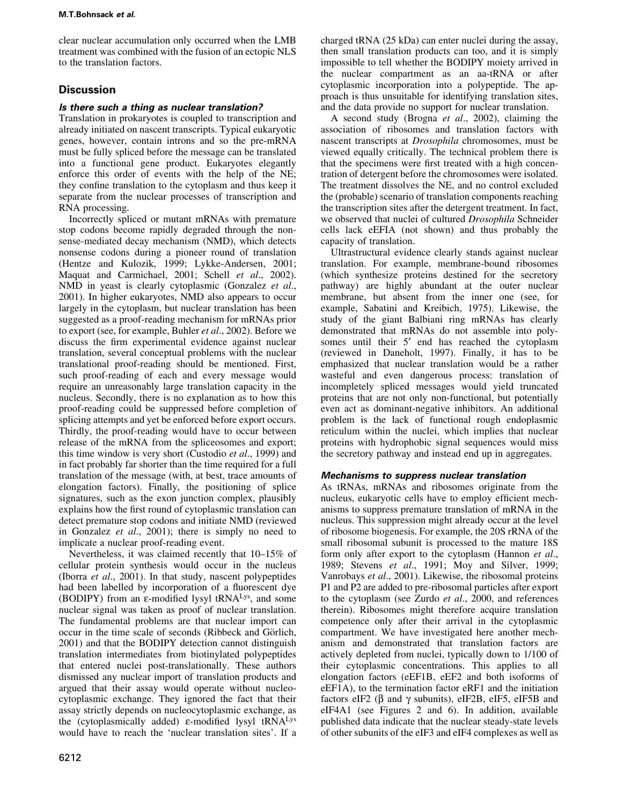clear nuclear accumulation only occurred when the LMB treatment was combined with the fusion of an ectopic NLS to the translation factors.

# **Discussion**

### Is there such a thing as nuclear translation?

Translation in prokaryotes is coupled to transcription and already initiated on nascent transcripts. Typical eukaryotic genes, however, contain introns and so the pre-mRNA must be fully spliced before the message can be translated into a functional gene product. Eukaryotes elegantly enforce this order of events with the help of the NE: they confine translation to the cytoplasm and thus keep it separate from the nuclear processes of transcription and RNA processing.

Incorrectly spliced or mutant mRNAs with premature stop codons become rapidly degraded through the nonsense-mediated decay mechanism (NMD), which detects nonsense codons during a pioneer round of translation (Hentze and Kulozik, 1999; Lykke-Andersen, 2001; Maquat and Carmichael, 2001; Schell et al., 2002). NMD in yeast is clearly cytoplasmic (Gonzalez et al., 2001). In higher eukaryotes, NMD also appears to occur largely in the cytoplasm, but nuclear translation has been suggested as a proof-reading mechanism for mRNAs prior to export (see, for example, Buhler et al., 2002). Before we discuss the firm experimental evidence against nuclear translation, several conceptual problems with the nuclear translational proof-reading should be mentioned. First, such proof-reading of each and every message would require an unreasonably large translation capacity in the nucleus. Secondly, there is no explanation as to how this proof-reading could be suppressed before completion of splicing attempts and yet be enforced before export occurs. Thirdly, the proof-reading would have to occur between release of the mRNA from the spliceosomes and export; this time window is very short (Custodio et al., 1999) and in fact probably far shorter than the time required for a full translation of the message (with, at best, trace amounts of elongation factors). Finally, the positioning of splice signatures, such as the exon junction complex, plausibly explains how the first round of cytoplasmic translation can detect premature stop codons and initiate NMD (reviewed in Gonzalez et al., 2001); there is simply no need to implicate a nuclear proof-reading event.

Nevertheless, it was claimed recently that 10–15% of cellular protein synthesis would occur in the nucleus (Iborra *et al.*, 2001). In that study, nascent polypeptides had been labelled by incorporation of a fluorescent dye (BODIPY) from an ε-modified lysyl tRNA<sup>Lys</sup>, and some nuclear signal was taken as proof of nuclear translation. The fundamental problems are that nuclear import can occur in the time scale of seconds (Ribbeck and Görlich, 2001) and that the BODIPY detection cannot distinguish translation intermediates from biotinylated polypeptides that entered nuclei post-translationally. These authors dismissed any nuclear import of translation products and argued that their assay would operate without nucleocytoplasmic exchange. They ignored the fact that their assay strictly depends on nucleocytoplasmic exchange, as the (cytoplasmically added)  $\varepsilon$ -modified lysyl tRNA<sup>Lys</sup> would have to reach the 'nuclear translation sites'. If a

charged tRNA (25 kDa) can enter nuclei during the assay, then small translation products can too, and it is simply impossible to tell whether the BODIPY moiety arrived in the nuclear compartment as an aa-tRNA or after cytoplasmic incorporation into a polypeptide. The approach is thus unsuitable for identifying translation sites, and the data provide no support for nuclear translation.

A second study (Brogna et al., 2002), claiming the association of ribosomes and translation factors with nascent transcripts at *Drosophila* chromosomes, must be viewed equally critically. The technical problem there is that the specimens were first treated with a high concentration of detergent before the chromosomes were isolated. The treatment dissolves the NE, and no control excluded the (probable) scenario of translation components reaching the transcription sites after the detergent treatment. In fact, we observed that nuclei of cultured Drosophila Schneider cells lack eEFIA (not shown) and thus probably the capacity of translation.

Ultrastructural evidence clearly stands against nuclear translation. For example, membrane-bound ribosomes (which synthesize proteins destined for the secretory pathway) are highly abundant at the outer nuclear membrane, but absent from the inner one (see, for example, Sabatini and Kreibich, 1975). Likewise, the study of the giant Balbiani ring mRNAs has clearly demonstrated that mRNAs do not assemble into polysomes until their 5' end has reached the cytoplasm (reviewed in Daneholt, 1997). Finally, it has to be emphasized that nuclear translation would be a rather wasteful and even dangerous process: translation of incompletely spliced messages would yield truncated proteins that are not only non-functional, but potentially even act as dominant-negative inhibitors. An additional problem is the lack of functional rough endoplasmic reticulum within the nuclei, which implies that nuclear proteins with hydrophobic signal sequences would miss the secretory pathway and instead end up in aggregates.

## Mechanisms to suppress nuclear translation

As tRNAs, mRNAs and ribosomes originate from the nucleus, eukaryotic cells have to employ efficient mechanisms to suppress premature translation of mRNA in the nucleus. This suppression might already occur at the level of ribosome biogenesis. For example, the 20S rRNA of the small ribosomal subunit is processed to the mature 18S form only after export to the cytoplasm (Hannon et al., 1989; Stevens et al., 1991; Moy and Silver, 1999; Vanrobays et al., 2001). Likewise, the ribosomal proteins P1 and P2 are added to pre-ribosomal particles after export to the cytoplasm (see Zurdo et al., 2000, and references therein). Ribosomes might therefore acquire translation competence only after their arrival in the cytoplasmic compartment. We have investigated here another mechanism and demonstrated that translation factors are actively depleted from nuclei, typically down to 1/100 of their cytoplasmic concentrations. This applies to all elongation factors (eEF1B, eEF2 and both isoforms of eEF1A), to the termination factor eRF1 and the initiation factors eIF2 ( $\beta$  and  $\gamma$  subunits), eIF2B, eIF5, eIF5B and eIF4A1 (see Figures 2 and 6). In addition, available published data indicate that the nuclear steady-state levels of other subunits of the eIF3 and eIF4 complexes as well as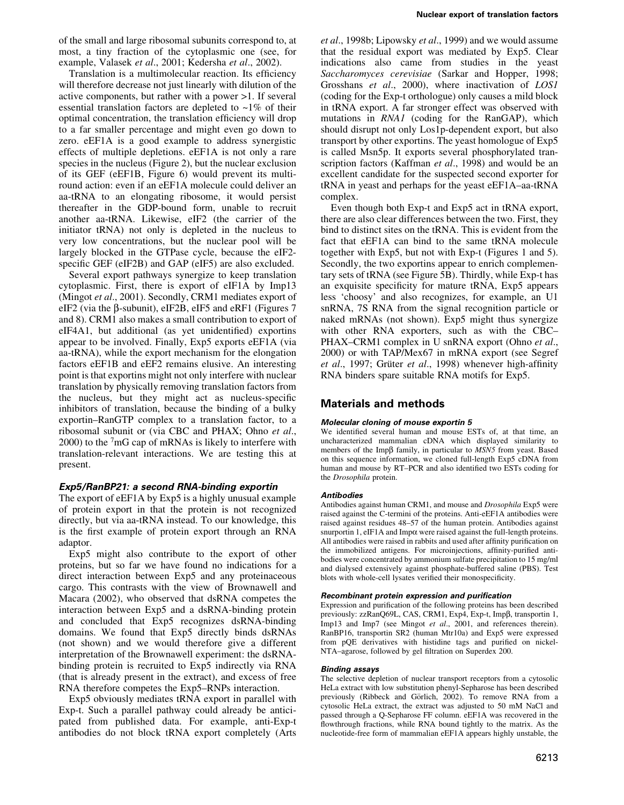of the small and large ribosomal subunits correspond to, at most, a tiny fraction of the cytoplasmic one (see, for example, Valasek et al., 2001; Kedersha et al., 2002).

Translation is a multimolecular reaction. Its efficiency will therefore decrease not just linearly with dilution of the active components, but rather with a power >1. If several essential translation factors are depleted to  $\sim$ 1% of their optimal concentration, the translation efficiency will drop to a far smaller percentage and might even go down to zero. eEF1A is a good example to address synergistic effects of multiple depletions. eEF1A is not only a rare species in the nucleus (Figure 2), but the nuclear exclusion of its GEF (eEF1B, Figure 6) would prevent its multiround action: even if an eEF1A molecule could deliver an aa-tRNA to an elongating ribosome, it would persist thereafter in the GDP-bound form, unable to recruit another aa-tRNA. Likewise, eIF2 (the carrier of the initiator tRNA) not only is depleted in the nucleus to very low concentrations, but the nuclear pool will be largely blocked in the GTPase cycle, because the eIF2specific GEF (eIF2B) and GAP (eIF5) are also excluded.

Several export pathways synergize to keep translation cytoplasmic. First, there is export of eIF1A by Imp13 (Mingot et al., 2001). Secondly, CRM1 mediates export of eIF2 (via the B-subunit), eIF2B, eIF5 and eRF1 (Figures 7 and 8). CRM1 also makes a small contribution to export of eIF4A1, but additional (as yet unidentified) exportins appear to be involved. Finally, Exp5 exports eEF1A (via aa-tRNA), while the export mechanism for the elongation factors eEF1B and eEF2 remains elusive. An interesting point is that exporting might not only interfere with nuclear translation by physically removing translation factors from the nucleus, but they might act as nucleus-specific inhibitors of translation, because the binding of a bulky exportin–RanGTP complex to a translation factor, to a ribosomal subunit or (via CBC and PHAX; Ohno et al.,  $2000$ ) to the  $7<sub>mG</sub>$  cap of mRNAs is likely to interfere with translation-relevant interactions. We are testing this at present.

### Exp5/RanBP21: a second RNA-binding exportin

The export of eEF1A by Exp5 is a highly unusual example of protein export in that the protein is not recognized directly, but via aa-tRNA instead. To our knowledge, this is the first example of protein export through an RNA adaptor.

Exp5 might also contribute to the export of other proteins, but so far we have found no indications for a direct interaction between Exp5 and any proteinaceous cargo. This contrasts with the view of Brownawell and Macara (2002), who observed that dsRNA competes the interaction between Exp5 and a dsRNA-binding protein and concluded that Exp5 recognizes dsRNA-binding domains. We found that Exp5 directly binds dsRNAs (not shown) and we would therefore give a different interpretation of the Brownawell experiment: the dsRNAbinding protein is recruited to Exp5 indirectly via RNA (that is already present in the extract), and excess of free RNA therefore competes the Exp5-RNPs interaction.

Exp5 obviously mediates tRNA export in parallel with Exp-t. Such a parallel pathway could already be anticipated from published data. For example, anti-Exp-t antibodies do not block tRNA export completely (Arts

et al., 1998b; Lipowsky et al., 1999) and we would assume that the residual export was mediated by Exp5. Clear indications also came from studies in the yeast Saccharomyces cerevisiae (Sarkar and Hopper, 1998; Grosshans et al., 2000), where inactivation of LOS1 (coding for the Exp-t orthologue) only causes a mild block in tRNA export. A far stronger effect was observed with mutations in RNA1 (coding for the RanGAP), which should disrupt not only Los1p-dependent export, but also transport by other exportins. The yeast homologue of Exp5 is called Msn5p. It exports several phosphorylated transcription factors (Kaffman et al., 1998) and would be an excellent candidate for the suspected second exporter for tRNA in yeast and perhaps for the yeast eEF1A-aa-tRNA complex.

Even though both Exp-t and Exp5 act in tRNA export, there are also clear differences between the two. First, they bind to distinct sites on the tRNA. This is evident from the fact that eEF1A can bind to the same tRNA molecule together with Exp5, but not with Exp-t (Figures 1 and 5). Secondly, the two exportins appear to enrich complementary sets of tRNA (see Figure 5B). Thirdly, while Exp-t has an exquisite specificity for mature tRNA, Exp5 appears less 'choosy' and also recognizes, for example, an U1 snRNA, 7S RNA from the signal recognition particle or naked mRNAs (not shown). Exp5 might thus synergize with other RNA exporters, such as with the CBC-PHAX-CRM1 complex in U snRNA export (Ohno et al., 2000) or with TAP/Mex67 in mRNA export (see Segref et al., 1997; Grüter et al., 1998) whenever high-affinity RNA binders spare suitable RNA motifs for Exp5.

## **Materials and methods**

### Molecular cloning of mouse exportin 5

We identified several human and mouse ESTs of, at that time, an uncharacterized mammalian cDNA which displayed similarity to members of the Impß family, in particular to MSN5 from yeast. Based on this sequence information, we cloned full-length Exp5 cDNA from human and mouse by RT-PCR and also identified two ESTs coding for the Drosophila protein.

### **Antibodies**

Antibodies against human CRM1, and mouse and *Drosophila* Exp5 were raised against the C-termini of the proteins. Anti-eEF1A antibodies were raised against residues 48-57 of the human protein. Antibodies against snurportin 1,  $eIF1A$  and Imp $\alpha$  were raised against the full-length proteins. All antibodies were raised in rabbits and used after affinity purification on the immobilized antigens. For microinjections, affinity-purified antibodies were concentrated by ammonium sulfate precipitation to 15 mg/ml and dialysed extensively against phosphate-buffered saline (PBS). Test blots with whole-cell lysates verified their monospecificity.

### Recombinant protein expression and purification

Expression and purification of the following proteins has been described previously: zzRanQ69L, CAS, CRM1, Exp4, Exp-t, Impβ, transportin 1, Imp13 and Imp7 (see Mingot et al., 2001, and references therein). RanBP16, transportin SR2 (human Mtr10a) and Exp5 were expressed from pQE derivatives with histidine tags and purified on nickel-NTA-agarose, followed by gel filtration on Superdex 200.

### **Binding assays**

The selective depletion of nuclear transport receptors from a cytosolic HeLa extract with low substitution phenyl-Sepharose has been described previously (Ribbeck and Görlich, 2002). To remove RNA from a cytosolic HeLa extract, the extract was adjusted to 50 mM NaCl and passed through a Q-Sepharose FF column. eEF1A was recovered in the flowthrough fractions, while RNA bound tightly to the matrix. As the nucleotide-free form of mammalian eEF1A appears highly unstable, the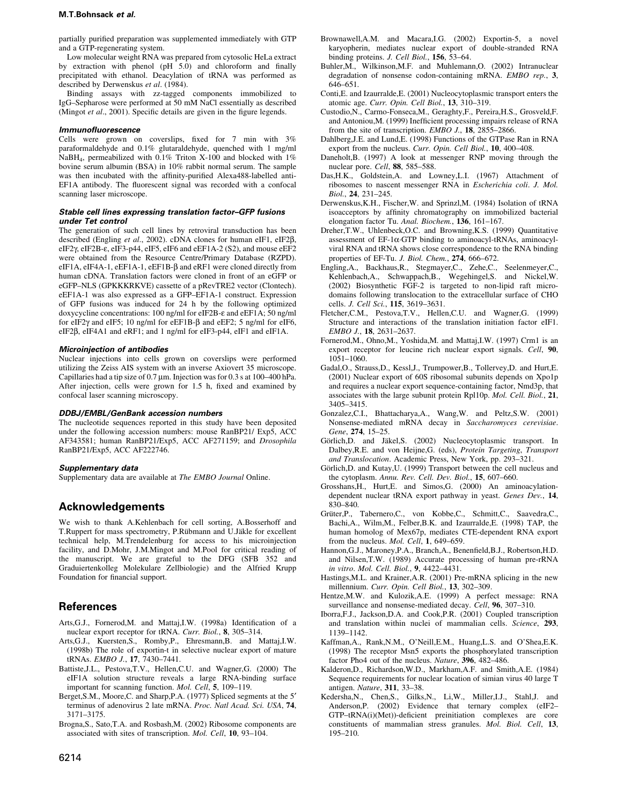#### M.T.Bohnsack et al.

partially purified preparation was supplemented immediately with GTP and a GTP-regenerating system.

Low molecular weight RNA was prepared from cvtosolic HeLa extract by extraction with phenol (pH 5.0) and chloroform and finally precipitated with ethanol. Deacylation of tRNA was performed as described by Derwenskus et al. (1984).

Binding assays with zz-tagged components immobilized to IgG-Sepharose were performed at 50 mM NaCl essentially as described (Mingot et al., 2001). Specific details are given in the figure legends.

#### **Immunofluorescence**

Cells were grown on coverslips, fixed for 7 min with  $3\%$ paraformaldehyde and 0.1% glutaraldehyde, quenched with 1 mg/ml NaBH<sub>4</sub>, permeabilized with 0.1% Triton X-100 and blocked with 1% bovine serum albumin (BSA) in 10% rabbit normal serum. The sample was then incubated with the affinity-purified Alexa488-labelled anti-EF1A antibody. The fluorescent signal was recorded with a confocal scanning laser microscope.

#### Stable cell lines expressing translation factor-GFP fusions under Tet control

The generation of such cell lines by retroviral transduction has been described (Engling et al., 2002). cDNA clones for human eIF1, eIF2 $\beta$ , eIF2γ, eIF2B-ε, eIF3-p44, eIF5, eIF6 and eEF1A-2 (S2), and mouse eEF2 were obtained from the Resource Centre/Primary Database (RZPD). eIF1A, eIF4A-1, eEF1A-1, eEF1B-β and eRF1 were cloned directly from human cDNA. Translation factors were cloned in front of an eGFP or eGFP-NLS (GPKKKRKVE) cassette of a pRevTRE2 vector (Clontech). eEF1A-1 was also expressed as a GFP-EF1A-1 construct. Expression of GFP fusions was induced for 24 h by the following optimized doxycycline concentrations: 100 ng/ml for eIF2B- $\varepsilon$  and eEF1A; 50 ng/ml for eIF2 $\gamma$  and eIF5; 10 ng/ml for eEF1B- $\beta$  and eEF2; 5 ng/ml for eIF6, eIF2β, eIF4A1 and eRF1; and 1 ng/ml for eIF3-p44, eIF1 and eIF1A.

#### **Microinjection of antibodies**

Nuclear injections into cells grown on coverslips were performed utilizing the Zeiss AIS system with an inverse Axiovert 35 microscope. Capillaries had a tip size of 0.7 µm. Injection was for 0.3 s at 100–400 hPa. After injection, cells were grown for 1.5 h, fixed and examined by confocal laser scanning microscopy.

#### DDBJ/EMBL/GenBank accession numbers

The nucleotide sequences reported in this study have been deposited under the following accession numbers: mouse RanBP21/ Exp5, ACC AF343581; human RanBP21/Exp5, ACC AF271159; and Drosophila RanBP21/Exp5, ACC AF222746.

#### Supplementary data

Supplementary data are available at The EMBO Journal Online.

### **Acknowledgements**

We wish to thank A.Kehlenbach for cell sorting, A.Bosserhoff and T.Ruppert for mass spectrometry, P.Rübmann and U.Jäkle for excellent technical help, M.Trendelenburg for access to his microinjection facility, and D.Mohr, J.M.Mingot and M.Pool for critical reading of the manuscript. We are grateful to the DFG (SFB 352 and Graduiertenkolleg Molekulare Zellbiologie) and the Alfried Krupp Foundation for financial support.

### **References**

- Arts, G.J., Fornerod, M. and Mattaj, I.W. (1998a) Identification of a nuclear export receptor for tRNA. Curr. Biol., 8, 305-314.
- Arts, G.J., Kuersten, S., Romby, P., Ehresmann, B. and Mattaj, I.W. (1998b) The role of exportin-t in selective nuclear export of mature tRNAs. EMBO J., 17, 7430-7441.
- Battiste, J.L., Pestova, T.V., Hellen, C.U. and Wagner, G. (2000) The eIF1A solution structure reveals a large RNA-binding surface important for scanning function. *Mol. Cell*, 5, 109–119.
- Berget, S.M., Moore, C. and Sharp, P.A. (1977) Spliced segments at the 5' terminus of adenovirus 2 late mRNA. Proc. Natl Acad. Sci. USA, 74,  $3171 - 3175$
- Brogna, S., Sato, T.A. and Rosbash, M. (2002) Ribosome components are associated with sites of transcription. Mol. Cell, 10, 93-104.
- Brownawell, A.M. and Macara, I.G. (2002) Exportin-5, a novel karyopherin, mediates nuclear export of double-stranded RNA binding proteins. J. Cell Biol., 156, 53-64.
- Buhler, M., Wilkinson, M.F. and Muhlemann, O. (2002) Intranuclear degradation of nonsense codon-containing mRNA. EMBO rep., 3,  $646 - 651$ .
- Conti, E. and Izaurralde, E. (2001) Nucleocytoplasmic transport enters the atomic age. Curr. Opin. Cell Biol., 13, 310-319.
- Custodio, N., Carmo-Fonseca, M., Geraghty, F., Pereira, H.S., Grosveld, F. and Antoniou, M. (1999) Inefficient processing impairs release of RNA from the site of transcription. EMBO J., 18, 2855-2866.
- Dahlberg, J.E. and Lund, E. (1998) Functions of the GTPase Ran in RNA export from the nucleus. Curr. Opin. Cell Biol., 10, 400-408.
- Daneholt, B. (1997) A look at messenger RNP moving through the nuclear pore. Cell, 88, 585-588.
- Das, H.K., Goldstein, A. and Lowney, L.I. (1967) Attachment of ribosomes to nascent messenger RNA in Escherichia coli. J. Mol. Biol., 24, 231-245.
- Derwenskus, K.H., Fischer, W. and Sprinzl, M. (1984) Isolation of tRNA isoacceptors by affinity chromatography on immobilized bacterial elongation factor Tu. Anal. Biochem., 136, 161-167.
- Dreher, T.W., Uhlenbeck, O.C. and Browning, K.S. (1999) Quantitative assessment of EF-1a-GTP binding to aminoacyl-tRNAs, aminoacylviral RNA and tRNA shows close correspondence to the RNA binding properties of EF-Tu. J. Biol. Chem., 274, 666-672.
- Engling, A., Backhaus, R., Stegmayer, C., Zehe, C., Seelenmeyer, C., Kehlenbach, A., Schwappach, B., Wegehingel, S. and Nickel, W. (2002) Biosynthetic FGF-2 is targeted to non-lipid raft microdomains following translocation to the extracellular surface of CHO cells. J. Cell Sci., 115, 3619-3631.
- Fletcher, C.M., Pestova, T.V., Hellen, C.U. and Wagner, G. (1999) Structure and interactions of the translation initiation factor eIF1. EMBO J., 18, 2631-2637.
- Fornerod, M., Ohno, M., Yoshida, M. and Mattaj, I.W. (1997) Crm1 is an export receptor for leucine rich nuclear export signals. Cell, 90,  $1051 - 1060$ .
- Gadal, O., Strauss, D., Kessl, J., Trumpower, B., Tollervey, D. and Hurt, E. (2001) Nuclear export of 60S ribosomal subunits depends on Xpo1p and requires a nuclear export sequence-containing factor, Nmd3p, that associates with the large subunit protein Rpl10p. Mol. Cell. Biol., 21, 3405-3415.
- Gonzalez, C.I., Bhattacharya, A., Wang, W. and Peltz, S.W. (2001) Nonsense-mediated mRNA decay in Saccharomyces cerevisiae. Gene, 274, 15-25.
- Görlich, D. and Jäkel, S. (2002) Nucleocytoplasmic transport. In Dalbey, R.E. and von Heijne, G. (eds), Protein Targeting, Transport and Translocation. Academic Press, New York, pp. 293-321.
- Görlich, D. and Kutay, U. (1999) Transport between the cell nucleus and the cytoplasm. Annu. Rev. Cell. Dev. Biol., 15, 607-660.
- Grosshans, H., Hurt, E. and Simos, G. (2000) An aminoacylationdependent nuclear tRNA export pathway in yeast. Genes Dev., 14, 830-840.
- Grüter, P., Tabernero, C., von Kobbe, C., Schmitt, C., Saavedra, C., Bachi, A., Wilm, M., Felber, B.K. and Izaurralde, E. (1998) TAP, the human homolog of Mex67p, mediates CTE-dependent RNA export from the nucleus. Mol. Cell, 1, 649-659.
- Hannon, G.J., Maroney, P.A., Branch, A., Benenfield, B.J., Robertson, H.D. and Nilsen, T.W. (1989) Accurate processing of human pre-rRNA in vitro. Mol. Cell. Biol., 9, 4422-4431.
- Hastings, M.L. and Krainer, A.R. (2001) Pre-mRNA splicing in the new millennium. Curr. Opin. Cell Biol., 13, 302-309.
- Hentze, M.W. and Kulozik, A.E. (1999) A perfect message: RNA surveillance and nonsense-mediated decay. Cell, 96, 307-310.
- Iborra, F.J., Jackson, D.A. and Cook, P.R. (2001) Coupled transcription and translation within nuclei of mammalian cells. Science, 293, 1139-1142.
- Kaffman, A., Rank, N.M., O'Neill, E.M., Huang, L.S. and O'Shea, E.K. (1998) The receptor Msn5 exports the phosphorylated transcription factor Pho4 out of the nucleus. Nature, 396, 482-486.
- Kalderon, D., Richardson, W.D., Markham, A.F. and Smith, A.E. (1984) Sequence requirements for nuclear location of simian virus 40 large T antigen. Nature, 311, 33-38.
- Kedersha, N., Chen, S., Gilks, N., Li, W., Miller, I.J., Stahl, J. and Anderson, P. (2002) Evidence that ternary complex (eIF2-GTP-tRNA(i)(Met))-deficient preinitiation complexes are core constituents of mammalian stress granules. Mol. Biol. Cell, 13, 195-210.